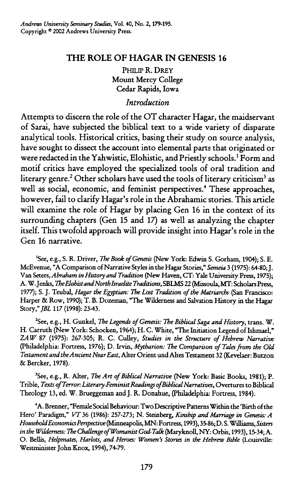# **THE ROLE OF HAGAR IN GENESIS 16**

PHILIP R. **DREY**  Mount Mercy College Cedar Rapids, Iowa

# *Introduction*

Attempts to discern the role of the OT character Hagar, the maidservant of Sarai, have subjected the biblical text to a wide variety of disparate analytical tools. Historical critics, basing their study on source analysis, have sought to dissect the account into elemental parts that originated or were redacted in the Yahwistic, Elohistic, and Priestly schools.' Form and motif critics have employed the specialized tools of oral tradition and literary genre.<sup>2</sup> Other scholars have used the tools of literary criticism<sup>3</sup> as well as social, economic, and feminist perspectives.<sup>4</sup> These approaches, however, fail to clarify Hagar's role in the Abrahamic stories. This article will examine the role of Hagar by placing Gen 16 in the context of its surrounding chapters (Gen 15 and 17) as well as analyzing the chapter itself. This twofold approach will provide insight into Hagar's role in the Gen 16 narrative.

'See, e.g., S. R. Driver, The *Book of Genesis* **(New** York: Edwin S. Gorham, 1904); S. E. McEvenue, "A Comparison of Narrative Styles in the Hagar Stories," **Semeia** 3 (1975): 64-80; J. **Van** Seters, *Abraham in History and Tradition* (New Haven, **CT:** Yale University Press, 1975); A. W. Jenks, *7kElohistandNorth Israelite Traditi~ns,* SBLMS *22* **(M~~~oula, MT:** Scholars Press, 1977); S. J. Teubal, *Hagar the Egyptian: The Lost Tradition of the Matriarchs* (San Francisco: Harper & Row, 1990); T. B. Dozeman, "The Wilderness and Salvation History in the **Hagar**  Story," *JBL* 117 (1998): 23-43.

<sup>2</sup>See, e.g., H. Gunkel, *The Legends of Genesis: The Biblical Saga and History*, trans. W. H. Carruth (New York: Schocken, 1964); H. C. White, "The Initiation Legend of Ishmael," *ZA W* 87 (1975): 267-305; R. C. Culley, *Studies in the Structure of Hehew Narrative*  (Philadelphia: Fortress, 1976); D. Irvin, *Mytharion: The Comparison of Talesfrom the OId Testament and the Ancient Near East,* Alter Orient und Altes Testament 32 (Kevelaer: Butzon & Bercker, 1978).

<sup>3</sup>See, e.g., R. Alter, *The Art of Biblical Narrative* (New York: Basic Books, 1981); P. Trible, *Texts of Terror: Literary-Feminist Readings of Biblical Narratives*, Overtures to Biblical Theology 13, **ed.** W. Brueggeman and J. R. Donahue, (Philadelpha: Fortress, 1984).

'A. Brenner, "Female Social Behaviour: Two Descriptive **Patterns** Within the 'Birth of the Hero' Paradigm," VT 36 (1986): 257-273; N. Steinberg, *Kinship and Marriage in Genesis: A HousehoIdEconomics Pmpective* (Minneapolis, **MN:** Fortress, 1993), 3586; D. S. Williams, *Sisters in the Wikhmwss: The Challengeof Womnist God-Talk* **(Maryknoll, NY:** Orbis, 1993), 1534; A. 0. Bellis, *Helpmates, Harlots, and Heroes: Women's Stm an the Hebrew Brble* (Louisville: Westminister John Knox, 1994), 74-79.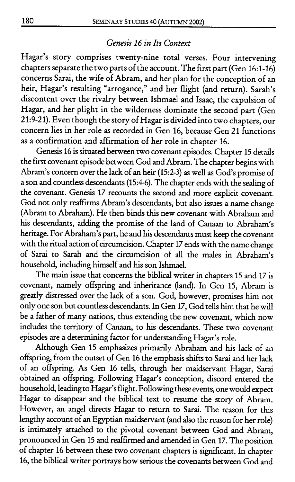## *Genesis 16 in Its Context*

Hagar's story comprises twenty-nine total verses. Four intervening chapters separate the two parts of the account. The first part (Gen 16:1-16) concerns Sarai, the wife of Abram, and her plan for the conception of an heir, Hagar's resulting "arrogance," and her flight (and return). Sarah's discontent over the rivalry between Ishmael and Isaac, the expulsion of Hagar, and her plight in the wilderness dominate the second part (Gen 21:9-21). Even though the story of Hagar is divided into two chapters, our concern lies in her role as recorded in Gen 16, because Gen 21 functions as a confirmation and affirmation of her role in chapter 16.

Genesis 16 is situated between two covenant episodes. Chapter 15 details the first covenant episode between God and Abram. The chapter begins with Abram's concern over the lack of an heir (15:2-3) as well as God's promise of a son and countless descendants (154-6). The chapter ends with the sealing of the covenant. Genesis 17 recounts the second and more explicit covenant. God not only reaffirms Abram's descendants, but also issues a name change (Abram to Abraham). He then binds this new covenant with Abraham and his descendants, adding the promise of the land of Canaan to Abraham's heritage. For Abraham's part, he and his descendants must keep the covenant with the ritual action of circumcision. Chapter 17 ends with the name change of Sarai to Sarah and the circumcision of **all** the males in Abraham's household, including himself and his son Ishmael.

The main issue that concerns the biblical writer in chapters 15 and 17 is covenant, namely offspring and inheritance (land). In Gen 15, Abram is geatly distressed over the lack of a son. God, however, promises him not only one son but countless descendants. In Gen 17, God tells him that he will be a father of many nations, thus extending the new covenant, which now includes the territory of Canaan, to his descendants. These two covenant episodes **are** a determining factor for understanding Hagar's role.

Although Gen 15 emphasizes primarily Abraham and his lack of an offspring, from the outset of Gen 16 the emphasis shifts to Sarai and her lack of an offspring. As Gen 16 tells, through her maidservant Hagar, Sarai obtained an offspring. Following Hagar's conception, discord entered the household, leading to Hagar's flight. Following these events, one would expect Hagar to disappear and the biblical text to resume the story of Abram. However, an angel directs Hagar to return to Sarai. The reason for this lengthy account of an Egyptian maidservant (and also the reason for her role) is intimately attached to the pivotal covenant between God and Abram, pronounced in Gen 15 and reaffirmed and amended in Gen 17. The position of chapter 16 between these two covenant chapters is significant. In chapter 16, the biblical writer portrays how serious the covenants between God and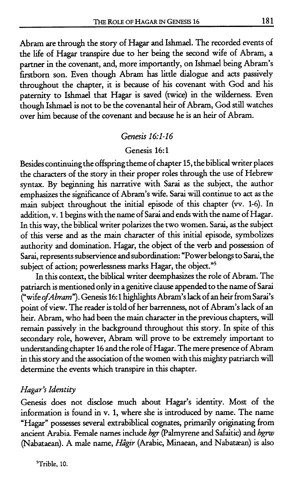Abram are through the story of Hagar and Ishmael. The recorded events of the life of Hagar transpire due to her being the second wife of Abram, a partner in the covenant, and, more importantly, on Ishmael being Abram's firstborn son. Even though Abram has little dialogue and acts passively throughout the chapter, it is because of his covenant with God and his paternity to Ishmael that Hagar is saved (twice) in the wilderness. Even though Ishmael is not to be the covenantal heir of Abram, God still watches over him because of the covenant and because he is an heir of Abram.

#### Genesis *16:l-16*

#### Genesis 16:l

Besides continuing the offspring theme of chapter 15, the biblical writer places the characters of the story in their proper roles through the use of Hebrew syntax. By beginning his narrative with Sarai as the subject, the author emphasizes the significance of Abram's wife. Sarai will continue to act as the main subject throughout the initial episode of this chapter (w. 1-6). In addition, v. 1 begins with the name of Sani and ends with the name of Hagar. In this way, the biblical writer polarizes the two women. Sarai, as the subject of this verse and as the main character of this initial episode, symbolizes authority and domination. Hagar, the object of the verb and possession of Sarai, represents subservience and subordination: "Power belongs to Sarai, the subject of action; powerlessness marks Hagar, the object."<sup>5</sup>

In this context, the biblical writer deemphasizes the role of Abram. The patriarch is mentioned only in a genitive clause appended to the name of Sarai ("wife of Abram"). Genesis 16:1 highlights Abram's lack of an heir from Sarai's point of view. The reader is told of her barrenness, not of Abram's lack of an heir. Abram, who had been the main character in the previous chapters, will remain passively in the background throughout this story. In spite of this secondary role, however, Abram will prove to be extremely important to understanding chapter 16 and the role of Hagar. The mere presence of Abram in this story and the association of the women with this mighty patriarch will determine the events which transpire in this chapter.

#### Hagar's **Identity**

Genesis does not disclose much about Hagar's identity. Most of the information is found in v. 1, where she is introduced by name. The name "Hagar" possesses several extrabiblical cognates, primarily originating from ancient Arabia. Female names include hgr (Palmyrene and Safaitic) and hgrw (Nabataean). A male name, *Hâgir* (Arabic, Minaean, and Nabatæan) is also

<sup>5</sup>Trible, 10.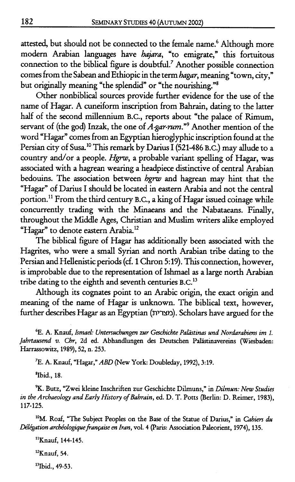attested, but should not be connected to the female name.<sup>6</sup> Although more modern Arabian languages have hajara, "to emigrate," this fortuitous connection to the biblical figure is doubtful.' Another possible connection comes from the Sabean and Ethiopic in the term hagar, meaning "town, city," but originally meaning "the splendid" or "the nourishing."<sup>8</sup>

Other nonbiblical sources provide further evidence for the use of the name of Hagar. **A** cuneiform inscription from Bahrain, dating to the latter half of the second millennium B.C., reports about "the palace of Rimum, servant of (the god) Inzak, the one of A-gar-rum."<sup>9</sup> Another mention of the word "Hagar" comes from an Egyptian hieroglyphic inscription found at the Persian city of Susa.<sup>10</sup> This remark by Darius I (521-486 B.C.) may allude to a country and/or a people. *Hgnu,* a probable variant spelling of Hagar, was associated with a hagrean wearing a headpiece distinctive of central Arabian bedouins. The association between hgrw and hagrean may hint that the "Hagar" of Darius I should be located in eastern Arabia and not the central portion.<sup>11</sup> From the third century B.C., a king of Hagar issued coinage while concurrently trading with the Minaeans and the Nabataeans. Finally, throughout the Middle Ages, Christian and Muslim writers alike employed "Hagar" to denote eastern Arabia.<sup>12</sup>

The biblical figure of **Hagar** has additionally been associated with the Hagrites, who were a small Syrian and north Arabian tribe dating to the Persian and Hellenistic periods (cf. 1 Chron 5:19). This connection, however, is improbable due to the representation of Ishmael as a large north Arabian tribe dating to the eighth and seventh centuries B.C.<sup>13</sup>

Although its cognates point to an Arabic origin, the exact origin and meaning of the name of Hagar is unknown. The biblical text, however, further describes Hagar as an Egyptian (nwn). Scholars have argued for the

**6E. A. Knauf,** *IsmaeL. Untersuchungen zur Geschichte Palitstinus und Nordarabtens im I. Jahrtausend v.* **Ch, 2d ed. Abhandlungen des Deutschen Pdaistinavereins (Wiesbaden: Harrassowitz, 1989), 52, n. 253.** 

**7E. A. Knauf, "Hagar,"** *ABD* **(New York: Doubleday, 1992), 3:19.** 

**'Ibid., 18.** 

9K. **Butz, "Zwei kleine Inschriften zur Geschichte Dilmuns," in** *Dtlmun:* **New** *Studies in the Archaeology and Early History of Bahrain, ed. D. T. Potts (Berlin: D. Reimer, 1983),* **117-125.** 

<sup>10</sup>M. Roaf, "The Subject Peoples on the Base of the Statue of Darius," in *Cahiers du Délégation archéologique française en Iran, vol. 4 (Paris: Association Paleorient, 1974), 135.* 

**"Knauf, 144-145.** 

<sup>12</sup>Knauf, 54.

<sup>13</sup>Ibid., 49-53.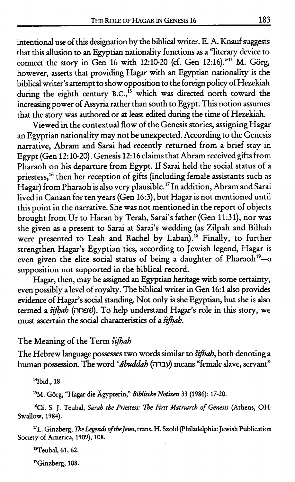intentional **use** of this designation by the biblical writer. E. A. Knauf suggests that this allusion to an Egyptian nationality functions as a "literary device to connect the story in Gen 16 with 12:10-20 (cf. Gen 12:16).<sup>"14</sup> M. Görg, however, asserts that providing Hagar with an Egyptian nationality is the biblical writer's attempt to show opposition to the foreign policy of Hezekiah during the eighth century B.C., $^{15}$  which was directed north toward the increasing power of Assyria rather than south to Egypt. This notion assumes that the story was authored or at least edited during the time of Hezekiah.

Viewed in the contextual flow of the Genesis stories, assigning Hagar an Egyptian nationality may not be unexpected. According to the Genesis narrative, Abram and Sarai had recently returned from a brief stay in Egypt (Gen 12: 10-20). Genesis 12: 16 claims that Abram received gifts from Pharaoh on his departure from Egypt. If Sarai held the social status of a priestess,<sup>16</sup> then her reception of gifts (including female assistants such as Hagar) from Pharaoh is also very plausible.17 In addition, Abram and Sarai lived in Canaan for ten years (Gen 16:3), but Hagar is not mentioned until this point in the narrative. She was not mentioned in the report of objects brought from Ur to Haran by Terah, Sarai's father (Gen 11:31), nor was she given as a present to Sarai at Sarai's wedding (as Zilpah and Bilhah were presented to Leah and Rachel by Laban).<sup>18</sup> Finally, to further strengthen Hagar's Egyptian ties, according to Jewish legend, Hagar is even given the elite social status of being a daughter of Pharaoh<sup>19</sup>-a supposition not supported in the biblical record.

**Hagar,** then, may be assigned an Egyptian heritage with some certainty, even possibly a level of royalty. The biblical writer in Gen **16:** 1 also provides evidence of Hagar's social standing. Not only is she Egyptian, but she is **also**  termed a šifhah (שפחה). To help understand Hagar's role in this story, we must ascertain the social characteristics of a *šifhah*.

### The Meaning of the Term sifhah

The Hebrew language possesses two words similar to *šifhah*, both denoting a human possession. The word *<sup>c</sup>ăbuddah* (עבדה) means "female slave, servant"

<sup>14</sup>Ibid., 18.

<sup>15</sup>M. Görg, "Hagar die Ägypterin," *Biblische Notizen* 33 (1986): 17-20.

**16Cf. S. J. Teubal,** *Sarah the Priestess: The Fint Matriarch of Genesis* **(Athens, OH: Swallow, 1984).** 

<sup>17</sup>L. Ginzberg, *The Legends of the Jews*, *trans. H. Szold (Philadelphia: Jewish Publication* **Society of America, 1909), 108.** 

<sup>18</sup>Teubal, 61, 62.

<sup>19</sup>Ginzberg, 108.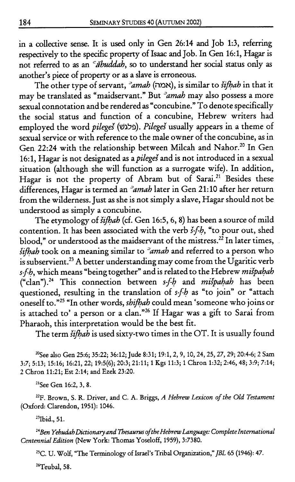in a collective sense. It is used only in Gen 26:14 and Job 1:3, referring respectively to the specifc property of Isaac and Job. In Gen 16:1, Hagar is not referred to as an *Cabuddah*, so to understand her social status only as another's piece of property or as a slave is erroneous.

The other type of servant,  $\partial$  *amah* (אמה), is similar to *sifhah* in that it may be translated as "maidservant." But <sup>2</sup>amah may also possess a more sexual connotation and be rendered as "concubine." To denote specifically the social status and function of a concubine, Hebrew writers had employed the word *pileges* (פלגש). *Pileges* usually appears in a theme of sexual service or with reference to the male owner of the concubine, as in Gen 22:24 with the relationship between Milcah and Nahor.<sup>20</sup> In Gen 16:1. Hagar is not designated as a *pileges* and is not introduced in a sexual situation (although she will function as a surrogate wife). In addition, Hagar is not the property of Abram but of Sarai.<sup>21</sup> Besides these differences, Hagar is termed an 'amah later in Gen 21:lO after her return from the wilderness. Just as she is not simply a slave, Hagar should not be understood as simply a concubine.

The etymology of  $\delta$ ifhah (cf. Gen 16:5, 6, 8) has been a source of mild contention. It has been associated with the verb  $\check{s}$ -fb, "to pour out, shed blood," or understood as the maidservant of the mistress.<sup>22</sup> In later times,  $\delta$ ifhab took on a meaning similar to  $\delta$  amab and referred to a person who is subservient.<sup>23</sup> A better understanding may come from the Ugaritic verb s-f-b, which means "being together" and is related to the Hebrew mispahah ("clan").<sup>24</sup> This connection between  $s$ -fb and mispahah has been questioned, resulting in the translation of sfh as "to join" or "attach oneself to.<sup>25</sup> "In other words, *shiftah* could mean 'someone who joins or is attached to' a person or a clan."26 If Hagar was a gift to Sarai from Pharaoh, this interpretation would be the best fit.

The term *šifhah* is used sixty-two times in the OT. It is usually found

**''See also Gen 256; 35:22; 36:12; Jude 8:31; 19:1,2,9, 10,24,25,27,29; 20:4-6; 2 Sam 3:7; 5:13; 15:16; 16:21, 22; 19:5(6); 20:3; 21:ll; 1 Kgs 11:3; 1 Chron 1:32; 2:46,48; 3:9; 7:14; 2 Chron 11:21; Est 2:14; and Ezek 23:20.** 

**"See Gen 16:2,3,8.** 

**22F. Brown, S. R. Driver, and C. A. Briggs, A** *Hebrew Lexicon of the Old Testament*  **(Oxford: Clarendon, 1951): 1046.** 

<sup>23</sup>Ibid., 51.

<sup>24</sup> Ben Yehudah Dictionary and Thesaurus of the Hebrew Language: Complete International *Centennial Edition* **(New York: Thomas Yoseloff, 1959), 3:7380.** 

**25C. U. Wolf, "The Terminology of Israel's Tribal Organization,"** *JBL* **65 (1946): 47.** 

<sup>26</sup>Teubal, 58.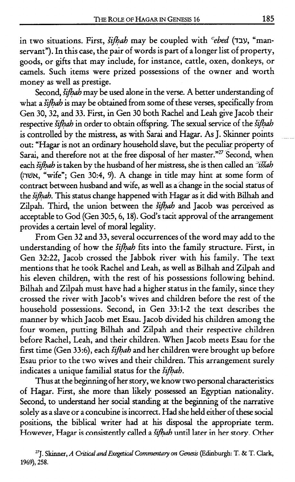in two situations. First, Yijhah may be coupled with *=ebed* **(Y~Y,** "manservant"). In this case, the pair of words is part of a longer list of property, goods, or gifts that may include, for instance, cattle, oxen, donkeys, or camels. Such items were prized possessions of the owner and worth money as well as prestige.

Second, *šifhah* may be used alone in the verse. A better understanding of what a *šifbab* is may be obtained from some of these verses, specifically from Gen 30,32, and 33. First, in Gen 30 both Rachel and Leah give Jacob their respective *šifhah* in order to obtain offspring. The sexual service of the *šifhah* is controlled by the mistress, as with Sarai **and** Hagar. As J. Skinner points out: "Hagar is not an ordinary household slave, but the peculiar property of Sarai, and therefore not at the free disposal of her master."<sup>27</sup> Second, when each *šifbab* is taken by the husband of her mistress, she is then called an <sup>-</sup>issab **(WN,** "wife"; Gen 30:4, 9). A change in title may hint at some form of contract between husband and wife, as well as achange in the social status of the izfiah. This status change happened with **Hagar** as it did with Bilhah and Zilpah. Third, the union between the *šifhah* and Jacob was perceived as acceptable to God (Gen 30:5,6,18). God's tacit approval of the arrangement provides a certain level of moral legality.

From Gen 32 and 33, several occurrences of the word may add to the understanding of how the *šifhah* fits into the family structure. First, in Gen 32:22, Jacob crossed the Jabbok river with his family. The text mentions that he took Rachel and Leah, as well as Bilhah and Zilpah and his eleven childrep, with the rest of his possessions following behind. Bilhah and Zilpah must have had a higher status in the family, since they crossed the river with Jacob's wives and children before the rest of the household possessions. Second, in Gen 33:l-2 the text describes the manner by which Jacob met Esau. Jacob divided his children among the four women, putting Bilhah and Zilpah and their respective children before Rachel, Leah, and their children. When Jacob meets Esau for the first time (Gen 33:6), each *šifhah* and her children were brought up before Esau prior to the two wives and their children. This arrangement surely indicates a unique familial status for the sifhah.

Thus at the beginning of her story, we know two personal characteristics of Hagar. First, she more than likely possessed an Egyptian nationality. Second, to understand her social standing at the beginning of the narrative solely as a slave or a concubine is incorrect. Had she held either of these social positions, the biblical writer had at his disposal the appropriate term. However, Hagar is consistently called a *šifhah* until later in her story. Other

<sup>&</sup>lt;sup>27</sup>J. Skinner, *A Critical and Exegetical Commentary on Genesis* (Edinburgh: T. & T. Clark, 1969), 258.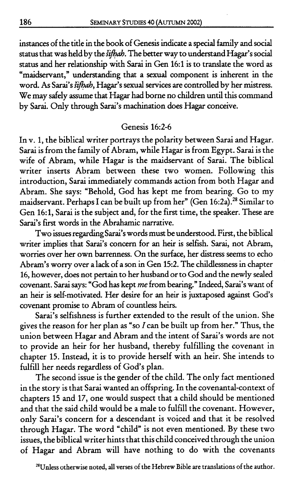instances of the title in the book of Genesis indicate a special family and social status that was held by the *šifhah*. The better way to understand Hagar's social status and her relationship with Sarai in Gen 16:l is to translate the word as "maidservant," understanding that a sexual component is inherent in the word. As Sarai's šifhah, Hagar's sexual services are controlled by her mistress. We may safely assume that **Hagar** had borne no children until this command by Sarai. Only through Sarai's machination does Hagar conceive.

# Genesis 16:Z-6

In v. 1, the biblical writer portrays the polarity between Sarai and Hagar. Sarai is from the family of Abram, while Hagar is from Egypt. Sarai is the wife of Abram, while Hagar is the maidservant of Sarai. The biblical writer inserts Abram between these two women. Following this introduction, Sarai immediately commands action from both Hagar and Abram. She says: "Behold, God has kept me from bearing. Go to my maidservant. Perhaps I can be built up from her" (Gen 16:2a).<sup>28</sup> Similar to Gen 16: 1, Sarai is the subject and, for the first time, the speaker. These are Sarai's frrst words in the Abrahamic narrative.

Two issues regarding Sarai's words must be understood. First, the biblical writer implies that Sarai's concern for an heir is selfish. Sarai, not Abram, worries over her own barrenness. On the surface, her distress seems to echo Abram's worry over a lack of a son in Gen 15:2. The childlessness in chapter 16, however, does not pertain to her husband or to God and the newly sealed covenant. Sarai says: "God has kept me from bearing." Indeed, Sarai's want of an heir is self-motivated. Her desire for an heir is juxtaposed against God's covenant promise to Abram of countless heirs.

Sarai's selfishness is further extended to the result of the union. She gives the reason for her plan as "so  $I$  can be built up from her." Thus, the union between Hagar and Abram and the intent of Sarai's words are not to provide an heir for her husband, thereby fulfilling the covenant in chapter 15. Instead, it is to provide herself with an heir. She intends to fulfill her needs regardless of God's plan.

The second issue is the gender of the child. The only fact mentioned in the story is that Sarai wanted an offspring. In the covenantal-context of chapters 15 and 17, one would suspect that a child should be mentioned and that the said child would be a male to fulfill the covenant. However, only Sarai's concern for a descendant is voiced and that it be resolved through Hagar. The word "child" is not even mentioned. By these two issues, the biblical writer hints that this child conceived through the union of Hagar and Abram will have nothing to do with the covenants

**\*"Unless otherwise noted, all verses of the Hebrew Bible are translations of the author.**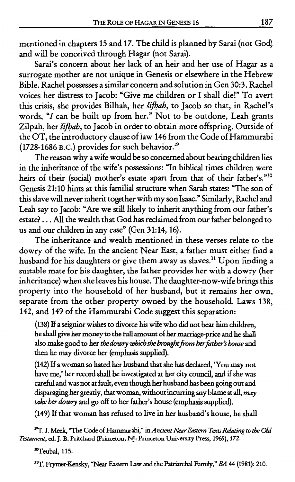mentioned in chapters 15 and 17. The child is planned by Sarai (not God) and will be conceived through Hagar (not Sarai).

Sarai's concern about her lack of an heir and her use of Hagar **as** a surrogate mother are not unique in Genesis or elsewhere in the Hebrew Bible. Rachel possesses a similar concern and solution in Gen 30:3. Rachel voices her distress to Jacob: "Give me children or I shall die!" To avert this crisis, she provides Bilhah, her šifhah, to Jacob so that, in Rachel's words, "I can be built up from her." Not to be outdone, Leah grants Zilpah, her šifhah, to Jacob in order to obtain more offspring. Outside of the OT, the introductory clause of law 146 from the Code of Hammurabi (1728-1686 **B.c.)** provides for such behavior.29

The reason why a wife would be so concerned about bearing children lies in the inheritance of the wife's possessions: "In biblical times children were heirs of their (social) mother's estate apart from that of their father's."<sup>30</sup> Genesis 21:lO hints at this familial structure when Sarah states: "The son of this slave will never inherit together with my son Isaac." Similarly, Rachel and Leah say to Jacob: "Are we still likely to inherit anything from our father's estate? . . . All the wealth that God has reclaimed from our father belonged to us and our children in any **case"** (Gen 3 1: 14, 16).

The inheritance and wealth mentioned in these verses relate to the dowry of the wife. In the ancient Near East, a father must either find a husband for his daughters or give them away **as** slaves.)' Upon finding a suitable mate for his daughter, the father provides her with a dowry (her inheritance) when she leaves his house. The daughter-now-wife brings this property into the household of her husband, but it remains her own, separate from the other property owned by the household. Laws 138, 142, and 149 of the Hammurabi Code suggest this separation:

(138) If a seignior wishes to divorce his wife who did not bear him children, he shall give her money to the full amount of **her** marriageprice and he shall also make good to her *the dowry which she brought from her father's house* and then he may divorce her (emphasis **supplied).** 

(142) If a woman **so** hated her husband that she has declared, 'You may not have me,' her record shall be investigated at her city **council,** and if she was careful and was not at fault, even though her husband has been going out and disparaging her greatly, that woman, without incurring any blame at all, *may* rake her dowry and go off to her father's house (emphasis **supplied).** 

(149) If that woman has refused to live in her husband's house, he shall

 $^{29}$ T. J. Meek, "The Code of Hammurabi," in *Ancient Near Eastern Texts Relating to the Old Testament,* **ed. J. B. Pritchard** (Prmceton, **NJ: Princeton University Press, 1969), 172.** 

<sup>30</sup>Teubal, 115.

<sup>31</sup>T. Frymer-Kensky, "Near Eastern Law and the Patriarchal Family," *BA* 44 (1981): 210.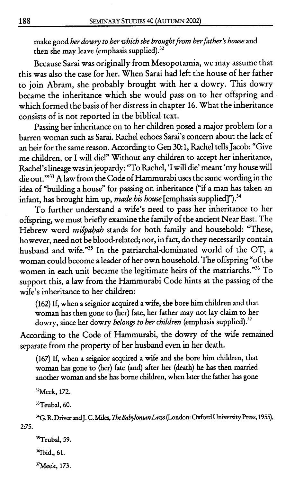**make good** *her dowry to her which she broughtfiom herfather's house* **and then she may leave (emphasis supplied).32** 

Because Sarai was originally from Mesopotamia, we may assume that this was also the case for her. When Sarai had left the house of her father to join Abram, she probably brought with her a dowry. This dowry became the inheritance which she would pass on to her offspring and which formed the basis of her distress in chapter 16. What the inheritance consists of is not reported in the biblical text.

Passing her inheritance on to her children posed a major problem for a barren woman such as Sarai. Rachel echoes Sarai's concern about the lack of an heir for the same reason. According to Gen **30:** 1, Rachel tells Jacob: "Give me children, or I will die!" Without any children to accept her inheritance, Rachel's lineage was in jeopardy: "To Rachel, 'I will die' meant 'my house will die out."<sup>33</sup> A law from the Code of Hammurabi uses the same wording in the idea of "building a house" for passing on inheritance ("if a man has taken an infant, has brought him up, **made** his *house* [emphasis supplied]")?

To further understand a wife's need to pass her inheritance to her offspring, we must briefly examine the family of the ancient Near **East.** The Hebrew word *mt;pahah* stands for both family and household: "These, however, need not be blood-related; nor, in fact, do they necessarily contain husband and wife."35 In the patriarchal-dominated world of the OT, a woman could become a leader of her own household. The offspring "of the women in each unit became the legitimate heirs of the matriarchs."<sup>36</sup> To support this, a law from the Hammurabi Code hints at the passing of the wife's inheritance to her children:

**(162) If, when a seignior acquired a wife, she bore him children and that woman has then gone to (her) fate, her father may not lay claim to her dowry, since her dowry** *belongs to her children* **(emphasis supplied).37** 

According to the Code of Hammurabi, the dowry of the wife remained separate from the property of her husband even in her death.

(167) If, when a seignior acquired a wife and she bore him children, that **woman** has **gone to (her) fate (and) after her (death) he** has **then** married **another woman and she has borne** children, **when later the father has gone** 

**"Meek, 172.** 

<sup>33</sup>Teubal, 60.

**34G. R. Driver and J. C. Miles,** *7heBabylonianLdm* **(London: Oxford University Press, 1955), 2:75.** 

<sup>35</sup>Teubal, 59. <sup>36</sup>Ibid., 61. **"Meek, 173.**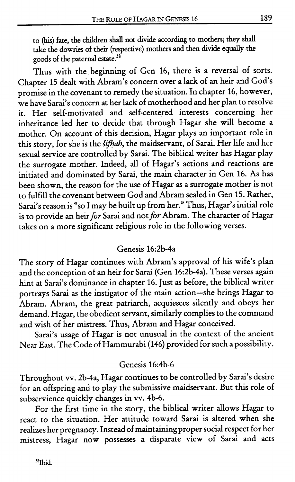to (his) fate, the children shall not divide according to mothers; they shall take the dowries of their (respective) mothers and then divide equally the goods of the paternal estate.<sup>38</sup>

Thus with the beginning of Gen 16, there is a reversal of sorts. Chapter 15 dealt with Abram's concern over a lack of an heir and God's promise in the covenant to remedy the situation. In chapter 16, however, we have Sarai's concern at her lack of motherhood and her plan to resolve it. Her self-motivated and self-centered interests concerning her inheritance led her to decide that through Hagar she will become a mother. On account of this decision, Hagar plays an important role in this story, for she is the *šifhah*, the maidservant, of Sarai. Her life and her sexual service are controlled by Sarai. The biblical writer has Hagar play the surrogate mother. Indeed, all of Hagar's actions and reactions are initiated and dominated by Sarai, the main character in Gen 16. As has been shown, the reason for the use of Hagar as a surrogate mother is not to fulfill the covenant between God and Abram sealed in Gen 15. Rather, Sarai's reason is "so I may be built up from her." Thus, Hagar's initial role is to provide an heir for Sarai and not for Abram. The character of Hagar takes on a more significant religious role in the following verses.

# Genesis 16:2b-4a

The story of Hagar continues with Abram's approval of his wife's plan and the conception of an heir for Sarai (Gen 16:2b-4a). These verses again hint at Sarai's dominance in chapter 16. Just as before, the biblical writer portrays Sarai as the instigator of the main action-she brings Hagar to Abram. Abram, the great patriarch, acquiesces silently and obeys her demand. Hagar, the obedient servant, similarly complies to the command and wish of her mistress. Thus, Abram and Hagar conceived.

Sarai's usage of Hagar is not unusual in the context of the ancient Near East. The Code of Hammurabi (146) provided for such a possibility.

## Genesis 16:4b-6

Throughout w. 2b-4a, Hagar continues to be controlled by Sarai's desire for an offspring and to play the submissive maidservant. But this role of subservience quickly changes in w. 4b-6.

For the first time in the story, the biblical writer allows **Hagar** to react to the situation. Her attitude toward Sarai is altered when she realizes her pregnancy. Instead of maintaining proper social respect for her mistress, Hagar now possesses a disparate view of Sarai and acts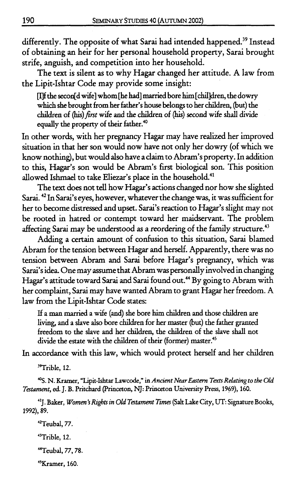differently. The opposite of what Sarai had intended happened.<sup>39</sup> Instead of obtaining an heir for her personal household property, Sarai brought strife, anguish, and competition into her household.

The text is silent as to why Hagar changed her attitude. A law from the Lipit-Ishtar Code may provide some insight:

the secon[d wife3 whom [he had] married bore him [chilldren, the dowry which she brought from her father's house belongs to her children, (but) the children of (his) first wife and the children of (his) second wife shall divide equally the property of their father.<sup>40</sup>

In other words, with her pregnancy Hagar may have realized her improved situation in that her son would now have not only her dowry (of which we know nothing), but would also have a **claim** to Abram's property. In addition to this, Hagar's son would be Abram's first biological son. This position allowed Ishmael to take Eliezar's place in the household.<sup>41</sup>

The text does not tell how Hagar's actions changed nor how she slighted Sarai.<sup>42</sup> In Sarai's eyes, however, whatever the change was, it was sufficient for her to become distressed and upset. Sarai's reaction to Hagar's slight may not be rooted in hatred or contempt toward her maidservant. The problem affecting Sarai may be understood as a reordering of the family structure. $43$ 

Adding a certain amount of confusion to this situation, Sarai blamed Abram for the tension between **Hagar** and herself. Apparently, there was no tension between Abram and Sarai before Hagar's pregnancy, which was Sarai's idea One may assume that Abram was personally involved in changing Hagar's attitude toward Sarai and Sarai found out.<sup>44</sup> By going to Abram with her complaint, Sarai may have wanted Abram to grant Hagar her freedom. A law from the Lipit-Ishtar Code states:

If a man married a wife (and) she bore him children and those children are living, and a slave **also** bore children for her master (but) the father granted freedom to the slave and her children, the children of the slave shall not divide the estate with the children of their (former) master.<sup>45</sup>

In accordance with this law, which would protect herself and her children

<sup>39</sup>Trible, 12.

**5.** N. Kramer, "Lipit-Ishtar **Lawcode,"** in Ancient *Near* **Eustenz** *Texts Relating* **to** *the Old Testament,* **ed.** J. B. Pritchard (Princeton, NJ: Princeton University Press, 1969), 160.

41J. Baker, **Women's Rights in** Old *Tatament Times* (Sat Lake City, **UT:** Signature **Books,**  1992), 89.

"Teubal, 77.

<sup>43</sup>Trible, 12.

Teubal, 77,78.

<sup>45</sup>Kramer, 160.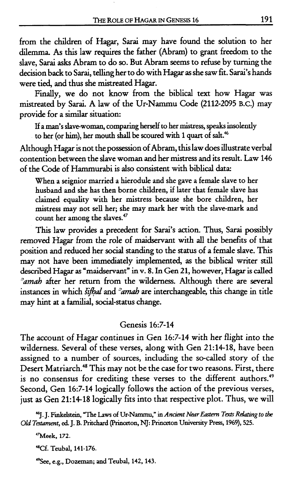from the children of Hagar, Sarai may have found the solution to her dilemma As this law requires the father (Abram) to grant freedom to the slave, Sarai **asks** Abram to do so. But Abram seems to refuse by turning the decision back to Sarai, telling her to do with Hagar as she saw fit. Sarai's hands were tied, and thus she mistreated Hagar.

Finally, we do not know from the biblical text how Hagar was mistreated by Sarai. A law of the Ur-Nammu Code (2112-2095 B.c.) may provide for a similar situation:

**If a man's slavewoman, comparing herself to her mistress, speaks insolently to her (or** him), **her mouth** shall **be scoured with 1 quart of salt.%** 

Although Hagar is not the possession of Abram, this law does illustrate verbal contention between the slave woman and her mistress and its result. Law 146 of the Code of Hammurabi is also consistent with biblical data:

**When a seignior married a hierodule and she gave a female slave to her husband and she has then borne children, if later that female slave has claimed equality with her mistress because she bore children, her mistress may not sell her; she may mark her with the slave-mark and count her among the slaves.47** 

This law provides a precedent for Sarai's action. Thus, Sarai possibly removed Hagar from the role of maidservant with all the benefits of thar position and reduced her social standing to the status of a female slave. This may not have been immediately implemented, **as** the biblical writer still described **Hagar** as **"maidservant" in v. 8.** In **Gen** 21, however, **Hagar** is called <sup>2</sup>amah after her return from the wilderness. Although there are several instances in which *šifhal* and  $\partial x$  and are interchangeable, this change in title may hint **at** a familial, social-status change.

#### Genesis 16:7-14

The account of Hagar continues in Gen 16:7-14 with her flight into the wilderness. Several of these verses, along with Gen 21:1418, have been assigned to a number of sources, including the so-called story of the Desert Matriarch.<sup>48</sup> This may not be the case for two reasons. First, there is no consensus for crediting these verses to the different authors.<sup>49</sup> Second, Gen 16:7-14 logically follows the action of the previous verses, just as Gen 21:14-18 logically fits into that respective plot. Thus, we will

**46J. J. Finkelstein, The Laws of Ur-Nammu," in** *Ancimt* **Nw** *Edstern* **Ta** *R\$mug* **to the Old Testament, d J. B. Pritchard (Princeton, NJ: Princeton University Press, 1969), 525.** 

**"Meek, 172.** 

**"Cf. Teubal, 141-176.** 

**49See, e.g., Dozeman; and Teubal, 142,143.**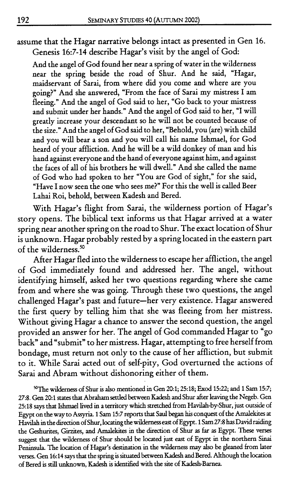assume that the Hagar narrative belongs intact as presented in Gen **16.**  Genesis **16:7-14** describe Hagar's visit by the angel of God:

And the angel of God found her near a spring of water in the wilderness near the spring beside the road of Shur. And he said, "Hagar, maidservant of Sarai, from where did you come and where are you going?" And she answered, "From the face of Sarai my mistress I am fleeing." And the angel of God said to her, "Go back to your mistress and submit under her hands." And the angel of God said to her, "I will greatly increase your descendant so he will not be counted because of the size." And the angel of God said to her, "Behold, you (are) with child and you will bear a son and you will call his name Ishmael, for God heard of your affliction. And he will be a wild donkey of man and his hand against everyone and the hand of everyone against him, and against the faces of all of his brothers he will dwell." And she called the name of God who had spoken to her "You are God of sight," for she said, "Have I now seen the one who sees me?" For this the well is called Beer Lahai Roi, behold, between Kadesh and Bered.

With Hagar's flight from Sarai, the wilderness portion of Hagar's story opens. The biblical text informs us that Hagar arrived at a water spring near another spring on the road to Shur. The exact location of Shur is unknown. Hagar probably rested by a spring located in the eastern part of the wilderness.<sup>50</sup>

After Hagar fled into the wilderness to escape her affliction, the angel of God immediately found and addressed her. The angel, without identifying himself, asked her two questions regarding where she came from and where she was going. Through these two questions, the angel challenged Hagar's past and future-her very existence. Hagar answered the first query by telling him that she was fleeing from her mistress. Without giving Hagar a chance to answer the second question, the angel provided an answer for her. The angel of God commanded Hagar to "go back" and "submit" to her mistress. Hagar, attempting to free herself from bondage, must return not only to the cause of her affliction, but submit to it. While Sarai acted out of self-pity, God overturned the actions of Sarai and Abram without dishonoring either of them.

<sup>50</sup>The wilderness of Shur is also mentioned in Gen 20:1; 25:18; Exod 15:22; and 1 Sam 15:7; **27:s. Gen 20:l states that Abraham settled between Kadesh and Shur after leaving the Negeb. Gen 25:18 says that Ishmael lived in a territory which stretched from Havilah-by-Shur, just outside of Egypt on the way to Assyna. 1 Sam 15:7 reports that Saul began his conquest of the Amalekites at**  Havilah in the direction of Shur, locating the wilderness east of Egypt. 1 Sam 27:8 has David raiding **the Geshurites, Girzites, and Amalekites in the direction of Shur as far as Egypt. These verses suggest that the wilderness of Shur should** be **located just east of Egypt in the northern Sinai Peninsula. The location of Hagar's destination in the wilderness may also** be **gleaned from later**  verses. Gen 16:14 says that the spring is situated between Kadesh and Bered. Although the location **of Bered is still unknown, Kadesh is identified with the site of Kadesh-Barnea.**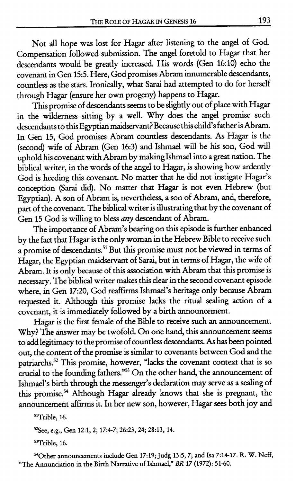Not **all** hope was lost for Hagar after listening to the angel of God. Compensation followed submission. The angel foretold to Hagar that her descendants would be greatly increased. His words (Gen 16:lO) echo the covenant in Gen 155. Here, God promises Abram innumerable descendants, countless as the **stars.** Ironically, what Sarai had attempted to do for herself through Hagar (ensure her own progeny) happens to Hagar.

This promise of descendants seems to be slightly out of place with Hagar in the wilderness sitting by a well. Why does the angel promise such descendants to this Egyptian maidservant? Because this child's father is Abram. In Gen 15, God promises Abram countless descendants. **As** Hagar is the (second) wife of Abram (Gen 16:3) and Ishmael will be his son, God will uphold his covenant with Abram by making Ishmael into a great nation. The biblical writer, in the words of the angel to Hagar, is showing how ardently God is heeding this covenant. No matter that he did not instigate Hagar's conception (Sarai did). No matter that Hagar is not even Hebrew (but Egyptian). A son of Abram is, nevertheless, a son of Abrarn, and, therefore, part of the covenant. The biblical writer is illustrating that by the covenant of Gen 15 God is willing to bless **any** descendant of Abram.

The importance of Abram's bearing on this episode is further enhanced by the fact that Hagar is the only woman in the Hebrew Bible to receive such a promise of descendants.<sup>51</sup> But this promise must not be viewed in terms of Hagar, the Egyptian maidservant of Sarai, but in terms of Hagar, the wife of Abram. It is only because of this association with Abram that this promise is necessary. The biblical writer makes this clear in the second covenant episode where, in Gen **17:20,** God reaffiims Ishmael's heritage only because Abram requested it. Although this promise lacks the ritual sealing action of a covenant, it is immediately followed by a birth announcement.

Hagar is the first female of the Bible to receive such an announcement. Why? The answer may be twofold. On one hand, this announcement **seems**  to add legitimacy to the promise of countless descendants. **As** has been pointed out, the content of the promise is similar to covenants between God and the patriarchs.<sup>52</sup> This promise, however, "lacks the covenant context that is so crucial to the founding fathers."<sup>53</sup> On the other hand, the announcement of Ishmael's birth through the messenger's declaration may serve as a sealing of this promise.<sup>54</sup> Although Hagar already knows that she is pregnant, the announcement affirms it. In her new son, however, Hagar sees both joy and

<sup>51</sup>Trible, 16.

**52See, e.g., Gen 12:1,2; 17:4-7; 26:23,24; 28:13, 14.** 

<sup>53</sup>Trible, 16.

**540ther announcements include Gen l7:lg; Judg 13:5,7; and Isa 7:14-17. R. W. Neff, "The Annunciation in the Birth Narrative of Ishmael," BR 17 (1972): 51-60.**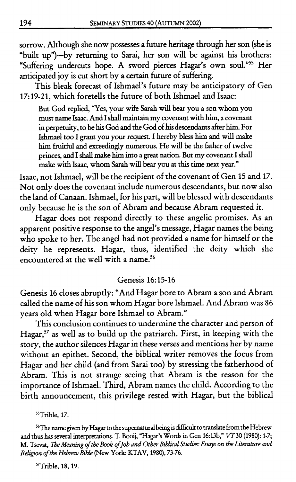sorrow. Although she now possesses a future heritage through her son (she is "built up")-by returning to Sarai, her son will be against his brothers: "Suffering undercuts hope. A sword pierces Hagar's own soul."55 Her anticipated joy is cut short by a certain future of suffering.

This bleak forecast of Ishmael's future may be anticipatory of Gen 17: 19-21, which foretells the future of both Ishmael and Isaac:

But God replied, "Yes, your wife Sarah will **bear** you a son whom you must **name** Isaac. And I shall maintain my covenant with **him,** a covenant in **perpetuity,** to **be** his God **and** the God of his **descendants** after him. For Ishmael too I grant you your request. I hereby bless him **and** will make him fruitful and exceedingly numerous. He will be the father of twelve princes, and I shall make him into a great nation. But my covenant I shall make with Isaac, whom Sarah will bear you at this time next year."

Isaac, not Ishmael, will be the recipient of the covenant of Gen 15 and 17. Not only does the covenant include numerous descendants, but now also the land of Canaan. Ishmael, for his part, will be blessed with descendants only because he is the son of Abram and because Abram requested it.

Hagar does not respond directly to these angelic promises. As an apparent positive response to the angel's message, Hagar names the being who spoke to her. The angel had not provided a name for himself or the deity he represents. Hagar, thus, identified the deity which she encountered at the well with a name.<sup>56</sup>

# Genesis 16: 15-16

Genesis 16 closes abruptly: 'And Hagar bore to Abram a son and Abram called the name of his son whom Hagar bore Ishmael. And Abram was 86 years old when Hagar bore Ishmael to Abram."

This conclusion continues to undermine the character and person of Hagar,<sup>57</sup> as well as to build up the patriarch. First, in keeping with the story, the author silences Hagar in these verses and mentions her by name without an epithet. Second, the biblical writer removes the focus from Hagar and her child (and from Sarai too) by stressing the fatherhood of Abram. This is not strange seeing that Abram is the reason for the importance of Ishmael. Third, Abram names the child. According to the birth announcement, this privilege rested with Hagar, but the biblical

<sup>55</sup>Trible, 17.

<sup>56</sup> The name given by Hagar to the supernatural being is difficult to translate from the Hebrew **and thus has several interpretations. T. Booij, "Hagar's Words in Gen 16:13b," VT30 (1980): 1-7; M. Tsevat, 7he** *Meaning of* **rhe** *Book of Job and Other Bibltcal Studies: Essays on the Literature and Religion* ofthe *Hebrew B&* **(New York: KTAV, 1980), 73-76.** 

<sup>57</sup>Trible, 18, 19.